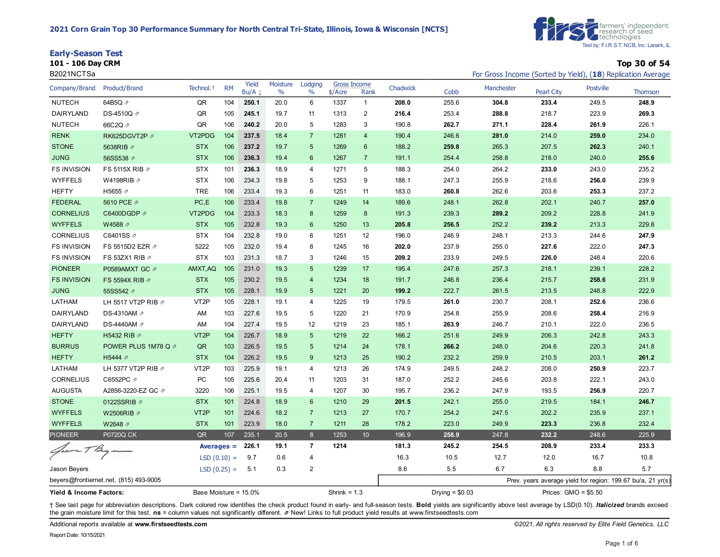



**101 - 106 Day CRM Top 30 of 54**

| B2021NCTSa              |                                        |                       |               |               |                           |                 |                                |                 |          |                  |            |                   |                       | For Gross Income (Sorted by Yield), (18) Replication Average |
|-------------------------|----------------------------------------|-----------------------|---------------|---------------|---------------------------|-----------------|--------------------------------|-----------------|----------|------------------|------------|-------------------|-----------------------|--------------------------------------------------------------|
| Company/Brand           | Product/Brand                          | Technol. <sup>+</sup> | <b>RM</b>     | Yield<br>Bu/A | Moisture<br>$\frac{0}{0}$ | Lodging<br>$\%$ | <b>Gross Income</b><br>\$/Acre | Rank            | Chadwick | Cobb             | Manchester | <b>Pearl City</b> | <b>Postville</b>      | <b>Thomson</b>                                               |
| <b>NUTECH</b>           | 64B5Q 2                                | QR                    | 104           | 250.1         | 20.0                      | 6               | 1337                           | $\mathbf{1}$    | 208.0    | 255.6            | 304.8      | 233.4             | 249.5                 | 248.9                                                        |
| DAIRYLAND               | DS-4510Q 2                             | QR                    | 105           | 245.1         | 19.7                      | 11              | 1313                           | $\overline{2}$  | 216.4    | 253.4            | 288.8      | 218.7             | 223.9                 | 269.3                                                        |
| <b>NUTECH</b>           | 66C2Q 2                                | QR                    | 106           | 240.2         | 20.0                      | 5               | 1283                           | 3               | 190.8    | 262.7            | 271.1      | 228.4             | 261.9                 | 226.1                                                        |
| <b>RENK</b>             | RK625DGVT2P 2                          | VT2PDG                | 104           | 237.5         | 18.4                      | $\overline{7}$  | 1281                           | $\overline{4}$  | 190.4    | 246.6            | 281.0      | 214.0             | 259.0                 | 234.0                                                        |
| <b>STONE</b>            | 5638RIB 2                              | <b>STX</b>            | 106           | 237.2         | 19.7                      | 5               | 1269                           | $6\phantom{1}$  | 188.2    | 259.8            | 265.3      | 207.5             | 262.3                 | 240.1                                                        |
| <b>JUNG</b>             | 56SS538 2                              | <b>STX</b>            | 106           | 236.3         | 19.4                      | 6               | 1267                           | $\overline{7}$  | 191.1    | 254.4            | 258.8      | 218.0             | 240.0                 | 255.6                                                        |
| <b>FS INVISION</b>      | FS 5115X RIB 2                         | <b>STX</b>            | 101           | 236.3         | 18.9                      | $\overline{4}$  | 1271                           | 5               | 188.3    | 254.0            | 264.2      | 233.0             | 243.0                 | 235.2                                                        |
| <b>WYFFELS</b>          | W4198RIB 2                             | <b>STX</b>            | 106           | 234.3         | 19.8                      | 5               | 1253                           | 9               | 188.1    | 247.3            | 255.9      | 218.6             | 256.0                 | 239.9                                                        |
| <b>HEFTY</b>            | H5655 2                                | <b>TRE</b>            | 106           | 233.4         | 19.3                      | 6               | 1251                           | 11              | 183.0    | 260.8            | 262.6      | 203.6             | 253.3                 | 237.2                                                        |
| <b>FEDERAL</b>          | 5610 PCE 2                             | PC, E                 | 106           | 233.4         | 19.8                      | $\overline{7}$  | 1249                           | 14              | 189.6    | 248.1            | 262.8      | 202.1             | 240.7                 | 257.0                                                        |
| <b>CORNELIUS</b>        | C6400DGDP <sub>∂</sub>                 | VT2PDG                | 104           | 233.3         | 18.3                      | 8               | 1259                           | 8               | 191.3    | 239.3            | 289.2      | 209.2             | 228.8                 | 241.9                                                        |
| <b>WYFFELS</b>          | W4588 ⊉                                | <b>STX</b>            | 105           | 232.8         | 19.3                      | 6               | 1250                           | 13              | 205.8    | 256.5            | 252.2      | 239.2             | 213.3                 | 229.8                                                        |
| CORNELIUS               | C6401SS 2                              | <b>STX</b>            | 104           | 232.8         | 19.0                      | 6               | 1251                           | 12              | 196.0    | 246.9            | 248.1      | 213.3             | 244.6                 | 247.9                                                        |
| <b>FS INVISION</b>      | FS 5515D2 EZR 2                        | 5222                  | 105           | 232.0         | 19.4                      | 8               | 1245                           | 16              | 202.0    | 237.9            | 255.0      | 227.6             | 222.0                 | 247.3                                                        |
| <b>FS INVISION</b>      | FS 53ZX1 RIB 2                         | <b>STX</b>            | 103           | 231.3         | 18.7                      | 3               | 1246                           | 15              | 209.2    | 233.9            | 249.5      | 226.0             | 248.4                 | 220.6                                                        |
| <b>PIONEER</b>          | P0589AMXT GC 2                         | AMXT, AQ              | 105           | 231.0         | 19.3                      | 5               | 1239                           | 17              | 195.4    | 247.6            | 257.3      | 218.1             | 239.1                 | 228.2                                                        |
| <b>FS INVISION</b>      | FS 5594X RIB $\varnothing$             | <b>STX</b>            | 105           | 230.2         | 19.5                      | $\overline{4}$  | 1234                           | 18              | 191.7    | 246.8            | 236.4      | 215.7             | 258.6                 | 231.9                                                        |
| <b>JUNG</b>             | 55SS542 2                              | <b>STX</b>            | 105           | 228.1         | 19.9                      | 5               | 1221                           | 20              | 199.2    | 222.7            | 261.5      | 213.5             | 248.8                 | 222.9                                                        |
| LATHAM                  | LH 5517 VT2P RIB 2                     | VT <sub>2</sub> P     | 105           | 228.1         | 19.1                      | $\overline{4}$  | 1225                           | 19              | 179.5    | 261.0            | 230.7      | 208.1             | 252.6                 | 236.6                                                        |
| DAIRYLAND               | DS-4310AM 2                            | AM                    | 103           | 227.6         | 19.5                      | 5               | 1220                           | 21              | 170.9    | 254.8            | 255.9      | 208.6             | 258.4                 | 216.9                                                        |
| DAIRYLAND               | DS-4440AM 2                            | AM                    | 104           | 227.4         | 19.5                      | 12              | 1219                           | 23              | 185.1    | 263.9            | 246.7      | 210.1             | 222.0                 | 236.5                                                        |
| <b>HEFTY</b>            | H5432 RIB 2                            | VT <sub>2</sub> P     | 104           | 226.7         | 18.9                      | 5               | 1219                           | 22              | 166.2    | 251.6            | 249.9      | 206.3             | 242.8                 | 243.3                                                        |
| <b>BURRUS</b>           | POWER PLUS 1M78 Q 2                    | QR                    | 103           | 226.5         | 19.5                      | 5               | 1214                           | 24              | 178.1    | 266.2            | 248.0      | 204.6             | 220.3                 | 241.8                                                        |
| <b>HEFTY</b>            | H5444 7                                | <b>STX</b>            | 104           | 226.2         | 19.5                      | 9               | 1213                           | 25              | 190.2    | 232.2            | 259.9      | 210.5             | 203.1                 | 261.2                                                        |
| LATHAM                  | LH 5377 VT2P RIB 2                     | VT <sub>2</sub> P     | 103           | 225.9         | 19.1                      | 4               | 1213                           | 26              | 174.9    | 249.5            | 248.2      | 208.0             | 250.9                 | 223.7                                                        |
| CORNELIUS               | C6552PC 2                              | PC                    | 105           | 225.6         | 20.4                      | 11              | 1203                           | 31              | 187.0    | 252.2            | 245.6      | 203.8             | 222.1                 | 243.0                                                        |
| <b>AUGUSTA</b>          | A2856-3220-EZ GC ク                     | 3220                  | 106           | 225.1         | 19.5                      | $\overline{4}$  | 1207                           | 30              | 195.7    | 236.2            | 247.9      | 193.5             | 256.9                 | 220.7                                                        |
| <b>STONE</b>            | 0122SSRIB 2                            | <b>STX</b>            | 101           | 224.8         | 18.9                      | 6               | 1210                           | 29              | 201.5    | 242.1            | 255.0      | 219.5             | 184.1                 | 246.7                                                        |
| <b>WYFFELS</b>          | W2506RIB Ø                             | VT <sub>2</sub> P     | 101           | 224.6         | 18.2                      | $\overline{7}$  | 1213                           | 27              | 170.7    | 254.2            | 247.5      | 202.2             | 235.9                 | 237.1                                                        |
| <b>WYFFELS</b>          | W2648 ⊉                                | <b>STX</b>            | 101           | 223.9         | 18.0                      | $\overline{7}$  | 1211                           | 28              | 178.2    | 223.0            | 249.9      | 223.3             | 236.8                 | 232.4                                                        |
| <b>PIONEER</b>          | P0720Q CK                              | QR                    | 107           | 235.1         | 20.5                      | $\delta$        | 1253                           | 10 <sub>1</sub> | 196.9    | 258.9            | 247.8      | 232.2             | 248.6                 | 225.9                                                        |
| Groom TB                |                                        |                       | Averages $=$  | 226.1         | 19.1                      | $\overline{7}$  | 1214                           |                 | 181.3    | 245.2            | 254.5      | 208.9             | 233.4                 | 233.3                                                        |
|                         |                                        |                       | $LSD(0.10) =$ | 9.7           | 0.6                       | 4               |                                |                 | 16.3     | 10.5             | 12.7       | 12.0              | 16.7                  | 10.8                                                         |
| Jason Beyers            |                                        |                       | $LSD(0.25) =$ | 5.1           | 0.3                       | $\overline{2}$  |                                |                 | 8.6      | 5.5              | 6.7        | 6.3               | 8.8                   | 5.7                                                          |
|                         | beyers@frontiernet.net, (815) 493-9005 |                       |               |               |                           |                 |                                |                 |          |                  |            |                   |                       | Prev. years average yield for region: 199.67 bu/a, 21 yr(s)  |
| Yield & Income Factors: |                                        | Base Moisture = 15.0% |               |               |                           |                 | Shrink = $1.3$                 |                 |          | Drying = $$0.03$ |            |                   | Prices: $GMO = $5.50$ |                                                              |

+ See last page for abbreviation descriptions. Dark colored row identifies the check product found in early- and full-season tests. Bold yields are significantly above test average by LSD(0.10). Italicized brands exceed the grain moisture limit for this test. **ns** = column values not significantly different. ⇗ New! Links to full product yield results at www.firstseedtests.com

Additional reports available at **[www.firstseedtests.com](https://www.firstseedtests.com)** *©2021, All rights reserved by Elite Field Genetics, LLC*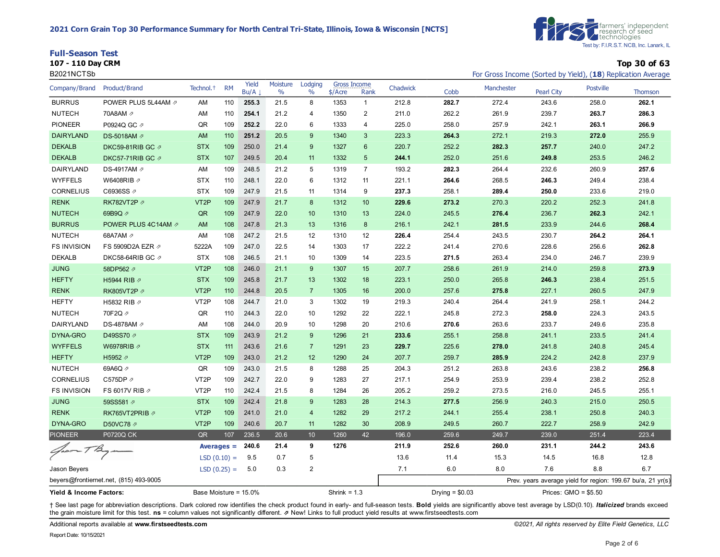| <b>Full-Season Test</b> |              |
|-------------------------|--------------|
| 107 - 110 Day CRM       | Top 30 of 63 |

| B2021NCTSb              |                                        |                       |           |               |                  |                          |                |                      |          |                  | For Gross Income (Sorted by Yield), (18) Replication Average |                       |                                                             |                |
|-------------------------|----------------------------------------|-----------------------|-----------|---------------|------------------|--------------------------|----------------|----------------------|----------|------------------|--------------------------------------------------------------|-----------------------|-------------------------------------------------------------|----------------|
| Company/Brand           | Product/Brand                          | Technol. <sup>+</sup> | <b>RM</b> | Yield<br>Bu/A | Moisture<br>$\%$ | Lodging<br>$\frac{0}{0}$ | $$/$ Acre      | Gross Income<br>Rank | Chadwick | Cobb             | Manchester                                                   | <b>Pearl City</b>     | <b>Postville</b>                                            | <b>Thomson</b> |
| <b>BURRUS</b>           | POWER PLUS 5L44AM 2                    | AM                    | 110       | 255.3         | 21.5             | 8                        | 1353           | $\mathbf{1}$         | 212.8    | 282.7            | 272.4                                                        | 243.6                 | 258.0                                                       | 262.1          |
| <b>NUTECH</b>           | 70A8AM 2                               | AM                    | 110       | 254.1         | 21.2             | 4                        | 1350           | $\overline{a}$       | 211.0    | 262.2            | 261.9                                                        | 239.7                 | 263.7                                                       | 286.3          |
| <b>PIONEER</b>          | P0924Q GC 2                            | QR                    | 109       | 252.2         | 22.0             | 6                        | 1333           | 4                    | 225.0    | 258.0            | 257.9                                                        | 242.1                 | 263.1                                                       | 266.9          |
| <b>DAIRYLAND</b>        | DS-5018AM Ø                            | AM                    | 110       | 251.2         | 20.5             | 9                        | 1340           | 3                    | 223.3    | 264.3            | 272.1                                                        | 219.3                 | 272.0                                                       | 255.9          |
| <b>DEKALB</b>           | DKC59-81RIB GC の                       | <b>STX</b>            | 109       | 250.0         | 21.4             | 9                        | 1327           | 6                    | 220.7    | 252.2            | 282.3                                                        | 257.7                 | 240.0                                                       | 247.2          |
| <b>DEKALB</b>           | DKC57-71RIB GC の                       | <b>STX</b>            | 107       | 249.5         | 20.4             | 11                       | 1332           | 5                    | 244.1    | 252.0            | 251.6                                                        | 249.8                 | 253.5                                                       | 246.2          |
| DAIRYLAND               | DS-4917AM 2                            | AM                    | 109       | 248.5         | 21.2             | 5                        | 1319           | $\overline{7}$       | 193.2    | 282.3            | 264.4                                                        | 232.6                 | 260.9                                                       | 257.6          |
| <b>WYFFELS</b>          | W6408RIB 2                             | <b>STX</b>            | 110       | 248.1         | 22.0             | 6                        | 1312           | 11                   | 221.1    | 264.6            | 268.5                                                        | 246.3                 | 249.4                                                       | 238.4          |
| <b>CORNELIUS</b>        | C6936SS 2                              | <b>STX</b>            | 109       | 247.9         | 21.5             | 11                       | 1314           | 9                    | 237.3    | 258.1            | 289.4                                                        | 250.0                 | 233.6                                                       | 219.0          |
| <b>RENK</b>             | RK782VT2P 2                            | VT <sub>2</sub> P     | 109       | 247.9         | 21.7             | 8                        | 1312           | 10                   | 229.6    | 273.2            | 270.3                                                        | 220.2                 | 252.3                                                       | 241.8          |
| <b>NUTECH</b>           | 69B9Q 2                                | QR                    | 109       | 247.9         | 22.0             | 10                       | 1310           | 13                   | 224.0    | 245.5            | 276.4                                                        | 236.7                 | 262.3                                                       | 242.1          |
| <b>BURRUS</b>           | POWER PLUS 4C14AM 2                    | AM                    | 108       | 247.8         | 21.3             | 13                       | 1316           | 8                    | 216.1    | 242.1            | 281.5                                                        | 233.9                 | 244.6                                                       | 268.4          |
| <b>NUTECH</b>           | 68A7AM 2                               | AM                    | 108       | 247.2         | 21.5             | 12                       | 1310           | 12                   | 226.4    | 254.4            | 243.5                                                        | 230.7                 | 264.2                                                       | 264.1          |
| <b>FS INVISION</b>      | FS 5909D2A EZR ク                       | 5222A                 | 109       | 247.0         | 22.5             | 14                       | 1303           | 17                   | 222.2    | 241.4            | 270.6                                                        | 228.6                 | 256.6                                                       | 262.8          |
| <b>DEKALB</b>           | DKC58-64RIB GC 2                       | <b>STX</b>            | 108       | 246.5         | 21.1             | 10                       | 1309           | 14                   | 223.5    | 271.5            | 263.4                                                        | 234.0                 | 246.7                                                       | 239.9          |
| <b>JUNG</b>             | 58DP562 2                              | VT <sub>2P</sub>      | 108       | 246.0         | 21.1             | 9                        | 1307           | 15                   | 207.7    | 258.6            | 261.9                                                        | 214.0                 | 259.8                                                       | 273.9          |
| <b>HEFTY</b>            | H5944 RIB 2                            | <b>STX</b>            | 109       | 245.8         | 21.7             | 13                       | 1302           | 18                   | 223.1    | 250.0            | 265.8                                                        | 246.3                 | 238.4                                                       | 251.5          |
| <b>RENK</b>             | RK805VT2P ク                            | VT <sub>2</sub> P     | 110       | 244.8         | 20.5             | $\overline{7}$           | 1305           | 16                   | 200.0    | 257.6            | 275.8                                                        | 227.1                 | 260.5                                                       | 247.9          |
| <b>HEFTY</b>            | H5832 RIB 2                            | VT <sub>2</sub> P     | 108       | 244.7         | 21.0             | 3                        | 1302           | 19                   | 219.3    | 240.4            | 264.4                                                        | 241.9                 | 258.1                                                       | 244.2          |
| <b>NUTECH</b>           | 70F2Q 2                                | QR                    | 110       | 244.3         | 22.0             | 10                       | 1292           | 22                   | 222.1    | 245.8            | 272.3                                                        | 258.0                 | 224.3                                                       | 243.5          |
| <b>DAIRYLAND</b>        | DS-4878AM 2                            | AM                    | 108       | 244.0         | 20.9             | 10                       | 1298           | 20                   | 210.6    | 270.6            | 263.6                                                        | 233.7                 | 249.6                                                       | 235.8          |
| DYNA-GRO                | D49SS70 2                              | <b>STX</b>            | 109       | 243.9         | 21.2             | 9                        | 1296           | 21                   | 233.6    | 255.1            | 258.8                                                        | 241.1                 | 233.5                                                       | 241.4          |
| <b>WYFFELS</b>          | W6978RIB 2                             | <b>STX</b>            | 111       | 243.6         | 21.6             | $\overline{7}$           | 1291           | 23                   | 229.7    | 225.6            | 278.0                                                        | 241.8                 | 240.8                                                       | 245.4          |
| <b>HEFTY</b>            | H5952 2                                | VT <sub>2</sub> P     | 109       | 243.0         | 21.2             | 12                       | 1290           | 24                   | 207.7    | 259.7            | 285.9                                                        | 224.2                 | 242.8                                                       | 237.9          |
| <b>NUTECH</b>           | 69A6Q 2                                | QR                    | 109       | 243.0         | 21.5             | 8                        | 1288           | 25                   | 204.3    | 251.2            | 263.8                                                        | 243.6                 | 238.2                                                       | 256.8          |
| <b>CORNELIUS</b>        | C575DP 2                               | VT <sub>2</sub> P     | 109       | 242.7         | 22.0             | 9                        | 1283           | 27                   | 217.1    | 254.9            | 253.9                                                        | 239.4                 | 238.2                                                       | 252.8          |
| <b>FS INVISION</b>      | FS 6017V RIB 2                         | VT <sub>2</sub> P     | 110       | 242.4         | 21.5             | 8                        | 1284           | 26                   | 205.2    | 259.2            | 273.5                                                        | 216.0                 | 245.5                                                       | 255.1          |
| <b>JUNG</b>             | 59SS581 2                              | <b>STX</b>            | 109       | 242.4         | 21.8             | 9                        | 1283           | 28                   | 214.3    | 277.5            | 256.9                                                        | 240.3                 | 215.0                                                       | 250.5          |
| <b>RENK</b>             | RK765VT2PRIB 2                         | VT <sub>2</sub> P     | 109       | 241.0         | 21.0             | $\overline{4}$           | 1282           | 29                   | 217.2    | 244.1            | 255.4                                                        | 238.1                 | 250.8                                                       | 240.3          |
| DYNA-GRO                | D50VC78 2                              | VT <sub>2</sub> P     | 109       | 240.6         | 20.7             | 11                       | 1282           | 30                   | 208.9    | 249.5            | 260.7                                                        | 222.7                 | 258.9                                                       | 242.9          |
| <b>PIONEER</b>          | <b>P0720Q CK</b>                       | QR                    | 107       | 236.5         | 20.6             | 10                       | 1260           | 42                   | 196.0    | 259.6            | 249.7                                                        | 239.0                 | 251.4                                                       | 223.4          |
| laco=                   |                                        | Averages $=$          |           | 240.6         | 21.4             | 9                        | 1276           |                      | 211.9    | 252.6            | 260.0                                                        | 231.1                 | 244.2                                                       | 243.6          |
|                         |                                        | $LSD(0.10) =$         |           | 9.5           | 0.7              | 5                        |                |                      | 13.6     | 11.4             | 15.3                                                         | 14.5                  | 16.8                                                        | 12.8           |
| Jason Beyers            |                                        | $LSD(0.25) =$         |           | 5.0           | 0.3              | $\overline{2}$           |                |                      | 7.1      | 6.0              | 8.0                                                          | 7.6                   | 8.8                                                         | 6.7            |
|                         | beyers@frontiernet.net, (815) 493-9005 |                       |           |               |                  |                          |                |                      |          |                  |                                                              |                       | Prev. years average yield for region: 199.67 bu/a, 21 yr(s) |                |
| Yield & Income Factors: |                                        | Base Moisture = 15.0% |           |               |                  |                          | Shrink = $1.3$ |                      |          | Drying = $$0.03$ |                                                              | Prices: $GMO = $5.50$ |                                                             |                |

+ See last page for abbreviation descriptions. Dark colored row identifies the check product found in early- and full-season tests. Bold yields are significantly above test average by LSD(0.10). Italicized brands exceed the grain moisture limit for this test. **ns** = column values not significantly different. ⇗ New! Links to full product yield results at www.firstseedtests.com

Additional reports available at **[www.firstseedtests.com](https://www.firstseedtests.com)** *©2021, All rights reserved by Elite Field Genetics, LLC*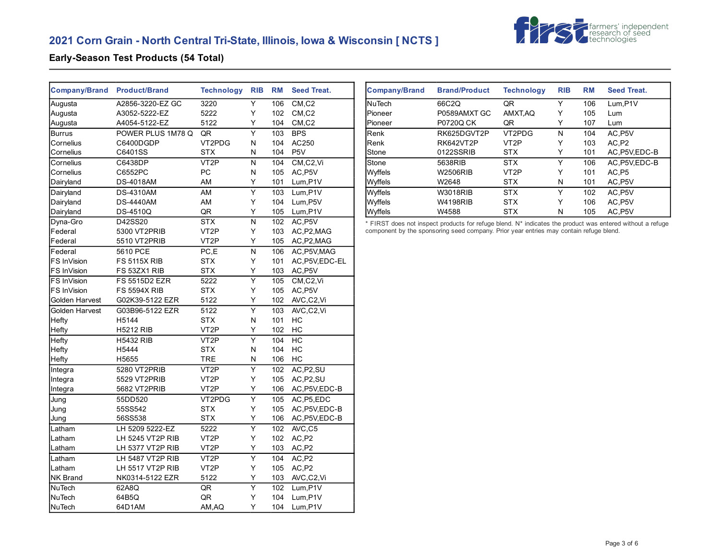# **2021 Corn Grain - North Central Tri-State, Illinois, Iowa & Wisconsin [ NCTS ]**



#### **Early-Season Test Products (54 Total)**

| <b>Company/Brand</b> | <b>Product/Brand</b> | <b>Technology</b> | <b>RIB</b>              | <b>RM</b> | <b>Seed Treat.</b>               |
|----------------------|----------------------|-------------------|-------------------------|-----------|----------------------------------|
| Augusta              | A2856-3220-EZ GC     | 3220              | Υ                       | 106       | CM, C2                           |
| Augusta              | A3052-5222-EZ        | 5222              | Υ                       | 102       | $CM$ <sub>,<math>C2</math></sub> |
| Augusta              | A4054-5122-EZ        | 5122              | Υ                       | 104       | CM, C2                           |
| <b>Burrus</b>        | POWER PLUS 1M78 Q    | QR                | $\overline{\mathsf{Y}}$ | 103       | <b>BPS</b>                       |
| Cornelius            | C6400DGDP            | VT2PDG            | N                       | 104       | AC250                            |
| Cornelius            | C6401SS              | <b>STX</b>        | N                       | 104       | P <sub>5</sub> V                 |
| Cornelius            | C6438DP              | VT <sub>2</sub> P | N                       | 104       | CM, C2, VI                       |
| Cornelius            | C6552PC              | PC                | N                       | 105       | AC, P5V                          |
| Dairyland            | <b>DS-4018AM</b>     | AM                | Υ                       | 101       | Lum, P1V                         |
| Dairyland            | <b>DS-4310AM</b>     | AM                | $\overline{\mathsf{Y}}$ | 103       | Lum, P1V                         |
| Dairyland            | <b>DS-4440AM</b>     | AM                | Υ                       | 104       | Lum, P5V                         |
| Dairyland            | <b>DS-4510Q</b>      | QR                | Y                       | 105       | Lum, P1V                         |
| Dyna-Gro             | D42SS20              | <b>STX</b>        | $\overline{\mathsf{N}}$ | 102       | AC, P5V                          |
| Federal              | 5300 VT2PRIB         | VT <sub>2</sub> P | Y                       | 103       | AC, P2, MAG                      |
| Federal              | 5510 VT2PRIB         | VT <sub>2</sub> P | Υ                       | 105       | AC, P2, MAG                      |
| Federal              | 5610 PCE             | PC,E              | N                       | 106       | AC, P5V, MAG                     |
| FS InVision          | <b>FS 5115X RIB</b>  | <b>STX</b>        | Υ                       | 101       | AC, P5V, EDC-EL                  |
| FS InVision          | FS 53ZX1 RIB         | <b>STX</b>        | Υ                       | 103       | AC, P5V                          |
| FS InVision          | <b>FS 5515D2 EZR</b> | 5222              | $\overline{\mathsf{Y}}$ | 105       | CM,C2,Vi                         |
| FS InVision          | <b>FS 5594X RIB</b>  | <b>STX</b>        | Υ                       | 105       | AC, P5V                          |
| Golden Harvest       | G02K39-5122 EZR      | 5122              | Y                       | 102       | AVC,C2,Vi                        |
| Golden Harvest       | G03B96-5122 EZR      | 5122              | $\overline{\mathsf{Y}}$ | 103       | AVC,C2,Vi                        |
| Hefty                | H5144                | <b>STX</b>        | N                       | 101       | НC                               |
| <b>Hefty</b>         | <b>H5212 RIB</b>     | VT <sub>2</sub> P | Υ                       | 102       | HC                               |
| Hefty                | <b>H5432 RIB</b>     | VT <sub>2</sub> P | $\overline{Y}$          | 104       | HC                               |
| Hefty                | H5444                | <b>STX</b>        | N                       | 104       | HC                               |
| Hefty                | H5655                | <b>TRE</b>        | N                       | 106       | НC                               |
| Integra              | 5280 VT2PRIB         | VT <sub>2</sub> P | $\overline{\mathsf{Y}}$ | 102       | AC, P <sub>2</sub> , SU          |
| Integra              | 5529 VT2PRIB         | VT <sub>2</sub> P | Υ                       | 105       | AC, P2, SU                       |
| Integra              | 5682 VT2PRIB         | VT <sub>2</sub> P | Υ                       | 106       | AC, P5V, EDC-B                   |
| Jung                 | 55DD520              | VT2PDG            | Y                       | 105       | AC, P5, EDC                      |
| Jung                 | 55SS542              | <b>STX</b>        | Υ                       | 105       | AC, P5V, EDC-B                   |
| Jung                 | 56SS538              | <b>STX</b>        | Υ                       | 106       | AC, P5V, EDC-B                   |
| Latham               | LH 5209 5222-EZ      | 5222              | Υ                       | 102       | AVC,C5                           |
| Latham               | LH 5245 VT2P RIB     | VT <sub>2</sub> P | Υ                       | 102       | AC,P2                            |
| Latham               | LH 5377 VT2P RIB     | VT <sub>2</sub> P | Υ                       | 103       | AC,P2                            |
| Latham               | LH 5487 VT2P RIB     | VT <sub>2</sub> P | $\overline{\mathsf{Y}}$ | 104       | AC,P2                            |
| Latham               | LH 5517 VT2P RIB     | VT2P              | Υ                       | 105       | AC,P2                            |
| <b>NK Brand</b>      | NK0314-5122 EZR      | 5122              | Υ                       | 103       | AVC,C2,Vi                        |
| <b>NuTech</b>        | 62A8Q                | QR                | $\overline{\mathsf{Y}}$ | 102       | Lum, P1V                         |
| NuTech               | 64B5Q                | QR                | Υ                       | 104       | Lum, P1V                         |
| <b>NuTech</b>        | 64D1AM               | AM, AQ            | Y                       | 104       | Lum, P1V                         |

| <b>Company/Brand</b> | <b>Brand/Product</b> | <b>Technology</b> | <b>RIB</b> | <b>RM</b> | Seed Treat.  |
|----------------------|----------------------|-------------------|------------|-----------|--------------|
| lNuTech              | 66C2Q                | QR                | Y          | 106       | Lum.P1V      |
| Pioneer              | P0589AMXT GC         | AMXT, AQ          | Y          | 105       | Lum          |
| Pioneer              | <b>P0720Q CK</b>     | QR                | Y          | 107       | Lum          |
| Renk                 | RK625DGVT2P          | VT2PDG            | N          | 104       | AC.P5V       |
| Renk                 | RK642VT2P            | VT <sub>2</sub> P | Y          | 103       | AC.P2        |
| Stone                | 0122SSRIB            | <b>STX</b>        | Y          | 101       | AC P5V EDC-B |
| Stone                | 5638RIB              | <b>STX</b>        | Υ          | 106       | AC.P5V.EDC-B |
| Wyffels              | W2506RIB             | VT <sub>2</sub> P | Y          | 101       | AC.P5        |
| Wyffels              | W2648                | <b>STX</b>        | N          | 101       | AC, P5V      |
| Wyffels              | <b>W3018RIB</b>      | <b>STX</b>        | Y          | 102       | AC.P5V       |
| Wyffels              | W4198RIB             | <b>STX</b>        | Y          | 106       | AC, P5V      |
| Wyffels              | W4588                | <b>STX</b>        | N          | 105       | AC, P5V      |

\* FIRST does not inspect products for refuge blend. N\* indicates the product was entered without a refuge component by the sponsoring seed company. Prior year entries may contain refuge blend.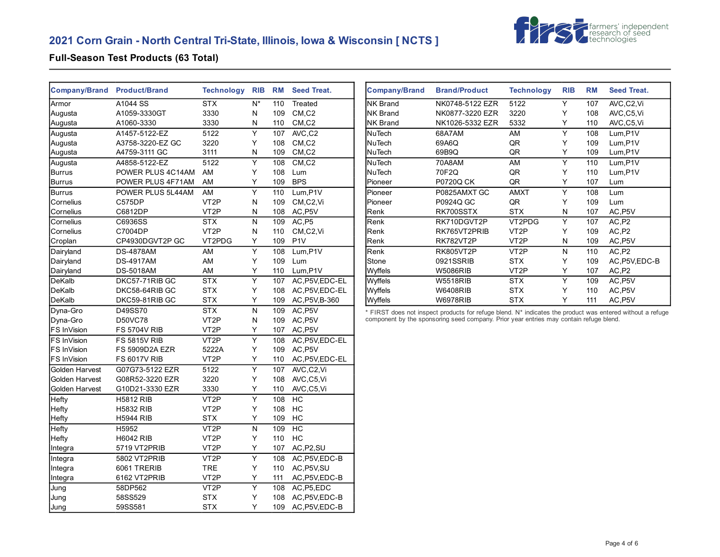# **2021 Corn Grain - North Central Tri-State, Illinois, Iowa & Wisconsin [ NCTS ]**



#### **Full-Season Test Products (63 Total)**

| <b>Company/Brand</b> | <b>Product/Brand</b>  | <b>Technology</b> | <b>RIB</b>                | <b>RM</b> | <b>Seed Treat.</b>               |
|----------------------|-----------------------|-------------------|---------------------------|-----------|----------------------------------|
| Armor                | A1044 SS              | <b>STX</b>        | $\overline{\mathsf{N}^*}$ | 110       | Treated                          |
| Augusta              | A1059-3330GT          | 3330              | Ν                         | 109       | $CM$ <sub>,<math>C2</math></sub> |
| Augusta              | A1060-3330            | 3330              | Ν                         | 110       | CM, C2                           |
| Augusta              | A1457-5122-EZ         | 5122              | Υ                         | 107       | AVC,C2                           |
| Augusta              | A3758-3220-EZ GC      | 3220              | Y                         | 108       | CM <sub>.</sub> C <sub>2</sub>   |
| Augusta              | A4759-3111 GC         | 3111              | Ν                         | 109       | CM, C2                           |
| Augusta              | A4858-5122-EZ         | 5122              | $\overline{\mathsf{Y}}$   | 108       | CM, C2                           |
| <b>Burrus</b>        | POWER PLUS 4C14AM     | AM                | Υ                         | 108       | Lum                              |
| <b>Burrus</b>        | POWER PLUS 4F71AM     | AM                | Y                         | 109       | <b>BPS</b>                       |
| <b>Burrus</b>        | POWER PLUS 5L44AM     | AM                | Υ                         | 110       | Lum, P1V                         |
| Cornelius            | C575DP                | VT <sub>2</sub> P | Ν                         | 109       | CM,C2,Vi                         |
| Cornelius            | C6812DP               | VT <sub>2</sub> P | N                         | 108       | AC, P5V                          |
| Cornelius            | C6936SS               | <b>STX</b>        | N                         | 109       | AC, P5                           |
| Cornelius            | C7004DP               | VT <sub>2</sub> P | N                         | 110       | CM,C2,Vi                         |
| Croplan              | CP4930DGVT2P GC       | VT2PDG            | Υ                         | 109       | P <sub>1</sub> V                 |
| Dairyland            | <b>DS-4878AM</b>      | AM                | Υ                         | 108       | Lum, P1V                         |
| Dairyland            | <b>DS-4917AM</b>      | AM                | Υ                         | 109       | Lum                              |
| Dairyland            | <b>DS-5018AM</b>      | AM                | Υ                         | 110       | Lum, P1V                         |
| DeKalb               | DKC57-71RIB GC        | <b>STX</b>        | Υ                         | 107       | AC, P5V, EDC-EL                  |
| DeKalb               | DKC58-64RIB GC        | <b>STX</b>        | Y                         | 108       | AC, P5V, EDC-EL                  |
| DeKalb               | DKC59-81RIB GC        | <b>STX</b>        | Υ                         | 109       | AC, P5V, B-360                   |
| Dyna-Gro             | D49SS70               | <b>STX</b>        | N                         | 109       | AC.P5V                           |
| Dyna-Gro             | <b>D50VC78</b>        | VT2P              | Ν                         | 109       | AC, P5V                          |
| FS InVision          | <b>FS 5704V RIB</b>   | VT <sub>2</sub> P | Υ                         | 107       | AC, P5V                          |
| FS InVision          | <b>FS 5815V RIB</b>   | VT <sub>2</sub> P | $\overline{\mathsf{Y}}$   | 108       | AC, P5V, EDC-EL                  |
| FS InVision          | <b>FS 5909D2A EZR</b> | 5222A             | Υ                         | 109       | AC, P5V                          |
| FS InVision          | <b>FS 6017V RIB</b>   | VT <sub>2</sub> P | Υ                         | 110       | AC, P5V, EDC-EL                  |
| Golden Harvest       | G07G73-5122 EZR       | 5122              | $\overline{\mathsf{Y}}$   | 107       | AVC,C2,Vi                        |
| Golden Harvest       | G08R52-3220 EZR       | 3220              | Υ                         | 108       | AVC,C5,Vi                        |
| Golden Harvest       | G10D21-3330 EZR       | 3330              | Υ                         | 110       | AVC,C5,Vi                        |
| Hefty                | <b>H5812 RIB</b>      | VT <sub>2</sub> P | $\overline{\mathsf{Y}}$   | 108       | HC                               |
| Hefty                | <b>H5832 RIB</b>      | VT <sub>2</sub> P | Υ                         | 108       | HC                               |
| Hefty                | <b>H5944 RIB</b>      | <b>STX</b>        | Υ                         | 109       | НC                               |
| Hefty                | H5952                 | VT <sub>2</sub> P | N                         | 109       | HC                               |
| Hefty                | <b>H6042 RIB</b>      | VT2P              | Y                         | 110       | HC                               |
| Integra              | 5719 VT2PRIB          | VT <sub>2</sub> P | Υ                         | 107       | AC, P2, SU                       |
| Integra              | 5802 VT2PRIB          | VT <sub>2</sub> P | $\overline{\mathsf{Y}}$   | 108       | AC, P5V, EDC-B                   |
| Integra              | 6061 TRERIB           | TRE               | Υ                         | 110       | AC, P5V, SU                      |
| Integra              | 6162 VT2PRIB          | VT <sub>2</sub> P | Υ                         | 111       | AC, P5V, EDC-B                   |
| Jung                 | 58DP562               | VT <sub>2</sub> P | Y                         | 108       | AC, P5, EDC                      |
| Jung                 | 58SS529               | <b>STX</b>        | Y                         | 108       | AC, P5V, EDC-B                   |
| Jung                 | 59SS581               | <b>STX</b>        | Υ                         | 109       | AC, P5V, EDC-B                   |

| <b>Company/Brand</b> | <b>Brand/Product</b> | <b>Technology</b> | <b>RIB</b> | <b>RM</b> | <b>Seed Treat.</b> |
|----------------------|----------------------|-------------------|------------|-----------|--------------------|
| INK Brand            | NK0748-5122 EZR      | 5122              | Υ          | 107       | AVC,C2,Vi          |
| INK Brand            | NK0877-3220 EZR      | 3220              | Y          | 108       | AVC,C5,Vi          |
| <b>NK Brand</b>      | NK1026-5332 EZR      | 5332              | Y          | 110       | AVC,C5,Vi          |
| NuTech               | 68A7AM               | AM                | Υ          | 108       | Lum, P1V           |
| lNuTech              | 69A6Q                | QR                | Υ          | 109       | Lum, P1V           |
| NuTech               | 69B9Q                | QR                | Y          | 109       | Lum, P1V           |
| NuTech               | 70A8AM               | AM                | Υ          | 110       | Lum, P1V           |
| NuTech               | 70F2Q                | QR                | Υ          | 110       | Lum, P1V           |
| Pioneer              | P0720Q CK            | QR                | Υ          | 107       | Lum                |
| Pioneer              | P0825AMXT GC         | <b>AMXT</b>       | Υ          | 108       | Lum                |
| Pioneer              | P0924Q GC            | QR                | Υ          | 109       | Lum                |
| Renk                 | RK700SSTX            | <b>STX</b>        | N          | 107       | AC, P5V            |
| Renk                 | RK710DGVT2P          | VT2PDG            | Υ          | 107       | AC,P2              |
| Renk                 | RK765VT2PRIB         | VT <sub>2</sub> P | Υ          | 109       | AC,P2              |
| Renk                 | RK782VT2P            | VT <sub>2</sub> P | N          | 109       | AC, P5V            |
| Renk                 | <b>RK805VT2P</b>     | VT <sub>2</sub> P | N          | 110       | AC,P2              |
| Stone                | 0921SSRIB            | <b>STX</b>        | Υ          | 109       | AC, P5V, EDC-B     |
| Wyffels              | <b>W5086RIB</b>      | VT <sub>2</sub> P | Y          | 107       | AC, P2             |
| Wyffels              | <b>W5518RIB</b>      | <b>STX</b>        | Υ          | 109       | AC, P5V            |
| Wyffels              | <b>W6408RIB</b>      | <b>STX</b>        | Υ          | 110       | AC, P5V            |
| Wyffels              | <b>W6978RIB</b>      | <b>STX</b>        | Y          | 111       | AC, P5V            |

\* FIRST does not inspect products for refuge blend. N\* indicates the product was entered without a refuge component by the sponsoring seed company. Prior year entries may contain refuge blend.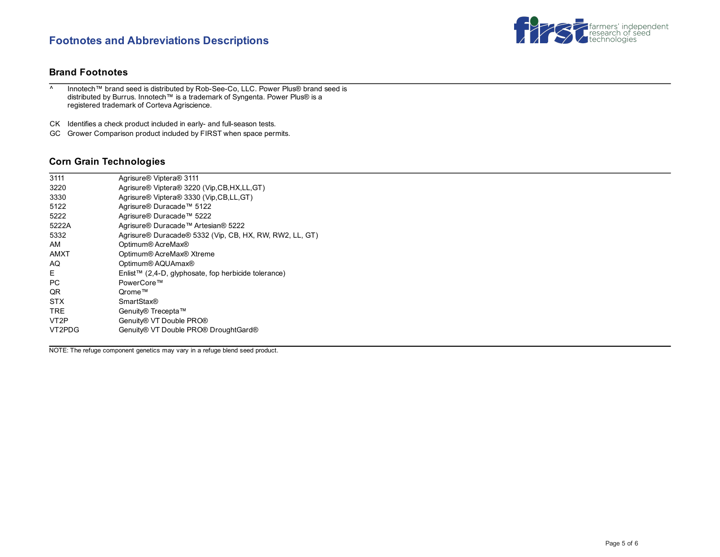## **Footnotes and Abbreviations Descriptions**



#### **Brand Footnotes**

^ Innotech™ brand seed is distributed by Rob-See-Co, LLC. Power Plus® brand seed is distributed by Burrus. Innotech™ is a trademark of Syngenta. Power Plus® is a registered trademark of Corteva Agriscience.

CK Identifies a check product included in early- and full-season tests.

GC Grower Comparison product included by FIRST when space permits.

#### **Corn Grain Technologies**

| 3111              | Agrisure <sup>®</sup> Viptera <sup>®</sup> 3111         |
|-------------------|---------------------------------------------------------|
| 3220              | Agrisure® Viptera® 3220 (Vip,CB,HX,LL,GT)               |
| 3330              | Agrisure® Viptera® 3330 (Vip, CB, LL, GT)               |
| 5122              | Agrisure® Duracade™ 5122                                |
| 5222              | Agrisure® Duracade™ 5222                                |
| 5222A             | Agrisure® Duracade™ Artesian® 5222                      |
| 5332              | Agrisure® Duracade® 5332 (Vip, CB, HX, RW, RW2, LL, GT) |
| AM                | Optimum® AcreMax®                                       |
| <b>AMXT</b>       | Optimum® AcreMax® Xtreme                                |
| AQ                | Optimum® AQUAmax®                                       |
| E                 | Enlist™ (2,4-D, glyphosate, fop herbicide tolerance)    |
| <b>PC</b>         | PowerCore™                                              |
| QR                | Orome™                                                  |
| <b>STX</b>        | <b>SmartStax®</b>                                       |
| TRE.              | Genuity® Trecepta™                                      |
| VT <sub>2</sub> P | Genuity® VT Double PRO®                                 |
| VT2PDG            | Genuity® VT Double PRO® DroughtGard®                    |
|                   |                                                         |

NOTE: The refuge component genetics may vary in a refuge blend seed product.